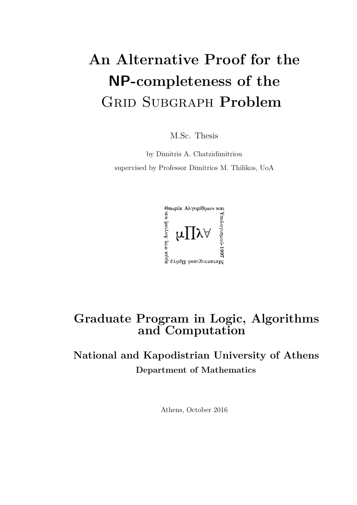## **An Alternative Proof for the NP-completeness of the** Grid Subgraph **Problem**

M.Sc. Thesis

by Dimitris A. Chatzidimitriou supervised by Professor Dimitrios M. Thilikos, UoA



### **Graduate Program in Logic, Algorithms and Computation**

### **National and Kapodistrian University of Athens Department of Mathematics**

Athens, October 2016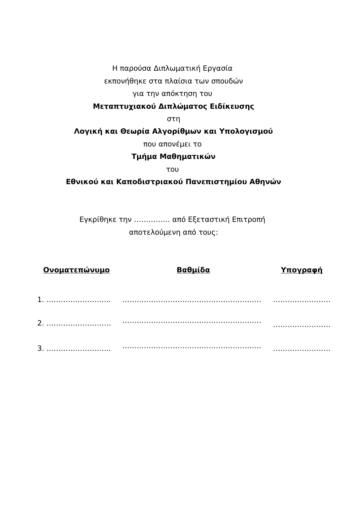Η παρούσα Διπλωματική Εργασία

εκπονήθηκε στα πλαίσια των σπουδών

για την απόκτηση του

**Μεταπτυχιακού Διπλώματος Ειδίκευσης**

στη

**Λογική και Θεωρία Αλγορίθμων και Υπολογισμού**

που απονέμει το

### **Τμήμα Μαθηματικών**

του

**Εθνικού και Καποδιστριακού Πανεπιστημίου Αθηνών**

Εγκρίθηκε την …………… από Εξεταστική Επιτροπή αποτελούμενη από τους:

| <u>Ονοματεπώνυμο</u> | Βαθμίδα | Υπογραφή |  |
|----------------------|---------|----------|--|
|                      |         |          |  |
|                      |         |          |  |
| 3                    |         |          |  |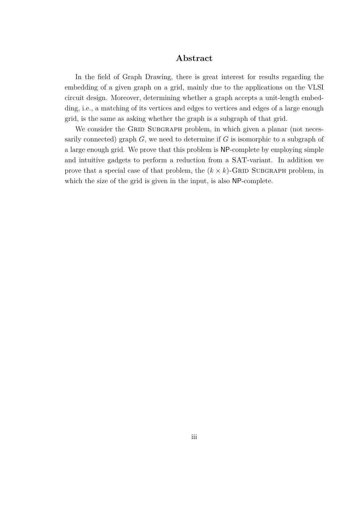#### **Abstract**

In the field of Graph Drawing, there is great interest for results regarding the embedding of a given graph on a grid, mainly due to the applications on the VLSI circuit design. Moreover, determining whether a graph accepts a unit-length embedding, i.e., a matching of its vertices and edges to vertices and edges of a large enough grid, is the same as asking whether the graph is a subgraph of that grid.

We consider the GRID SUBGRAPH problem, in which given a planar (not necessarily connected) graph *G*, we need to determine if *G* is isomorphic to a subgraph of a large enough grid. We prove that this problem is NP-complete by employing simple and intuitive gadgets to perform a reduction from a SAT-variant. In addition we prove that a special case of that problem, the  $(k \times k)$ -GRID SUBGRAPH problem, in which the size of the grid is given in the input, is also NP-complete.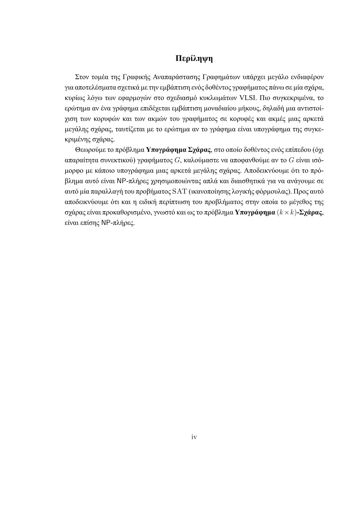#### **Περίληψη**

Στον τομέα της Γραφικής Αναπαράστασης Γραφημάτων υπάρχει μεγάλο ενδιαφέρον για αποτελέσματα σχετικά με την εμβάπτιση ενός δοθέντος γραφήματος πάνω σε μία σχάρα, κυρίως λόγω των εφαρμογών στο σχεδιασμό κυκλωμάτων VLSI. Πιο συγκεκριμένα, το ερώτημα αν ένα γράφημα επιδέχεται εμβάπτιση μοναδιαίου μήκους, δηλαδή μια αντιστοίχιση των κορυφών και των ακμών του γραφήματος σε κορυφές και ακμές μιας αρκετά μεγάλης σχάρας, ταυτίζεται με το ερώτημα αν το γράφημα είναι υπογράφημα της συγκεκριμένης σχάρας.

Θεωρούμε το πρόβλημα **Υπογράφημα Σχάρας**, στο οποίο δοθέντος ενός επίπεδου (όχι απαραίτητα συνεκτικού) γραφήματος *G*, καλούμαστε να αποφανθούμε αν το *G* είναι ισόμορφο με κάποιο υπογράφημα μιας αρκετά μεγάλης σχάρας. Αποδεικνύουμε ότι το πρόβλημα αυτό είναι NP-πλήρες χρησιμοποιώντας απλά και διαισθητικά για να ανάγουμε σε αυτό μία παραλλαγή του προβήματος SAT (ικανοποίησης λογικής φόρμουλας). Προς αυτό αποδεικνύουμε ότι και η ειδική περίπτωση του προβλήματος στην οποία το μέγεθος της σχάρας είναι προκαθορισμένο, γνωστό και ως το πρόβλημα **Υπογράφημα** (*k×k*)**-Σχάρας**, είναι επίσης NP-πλήρες.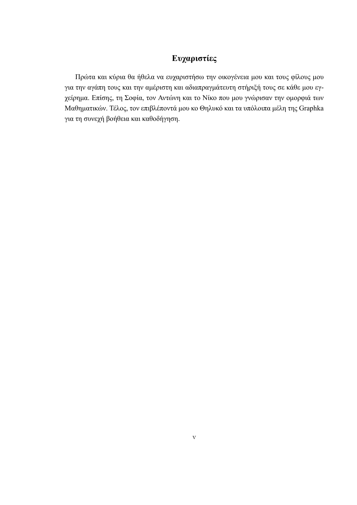### **Ευχαριστίες**

Πρώτα και κύρια θα ήθελα να ευχαριστήσω την οικογένεια μου και τους φίλους μου για την αγάπη τους και την αμέριστη και αδιαπραγμάτευτη στήριξή τους σε κάθε μου εγχείρημα. Επίσης, τη Σοφία, τον Αντώνη και το Νίκο που μου γνώρισαν την ομορφιά των Μαθηματικών. Τέλος, τον επιβλέποντά μου κο Θηλυκό και τα υπόλοιπα μέλη της Graphka για τη συνεχή βοήθεια και καθοδήγηση.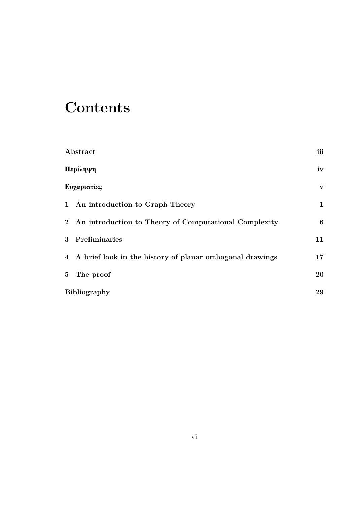## **Contents**

| Abstract                                                    |                  |  |
|-------------------------------------------------------------|------------------|--|
| Περίληψη                                                    | iv               |  |
| Ευχαριστίες                                                 | $\mathbf{V}$     |  |
| 1 An introduction to Graph Theory                           | $\mathbf{1}$     |  |
| 2 An introduction to Theory of Computational Complexity     | $\boldsymbol{6}$ |  |
| 3 Preliminaries                                             | 11               |  |
| 4 A brief look in the history of planar orthogonal drawings | 17               |  |
| 5 The proof                                                 | 20               |  |
| <b>Bibliography</b>                                         | 29               |  |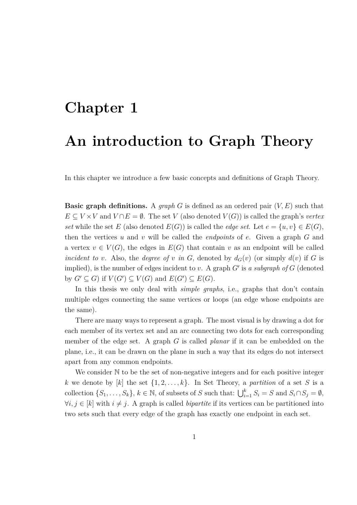# **Chapter 1 An introduction to Graph Theory**

In this chapter we introduce a few basic concepts and definitions of Graph Theory.

**Basic graph definitions.** A *graph G* is defined as an ordered pair (*V, E*) such that  $E \subseteq V \times V$  and  $V \cap E = \emptyset$ . The set *V* (also denoted  $V(G)$ ) is called the graph's *vertex set* while the set *E* (also denoted  $E(G)$ ) is called the *edge set*. Let  $e = \{u, v\} \in E(G)$ , then the vertices *u* and *v* will be called the *endpoints* of *e*. Given a graph *G* and a vertex  $v \in V(G)$ , the edges in  $E(G)$  that contain v as an endpoint will be called *incident to v*. Also, the *degree of v in G*, denoted by  $d_G(v)$  (or simply  $d(v)$  if *G* is implied), is the number of edges incident to *v*. A graph *G′* is *a subgraph of G* (denoted by  $G' \subseteq G$ ) if  $V(G') \subseteq V(G)$  and  $E(G') \subseteq E(G)$ .

In this thesis we only deal with *simple graphs*, i.e., graphs that don't contain multiple edges connecting the same vertices or loops (an edge whose endpoints are the same).

There are many ways to represent a graph. The most visual is by drawing a dot for each member of its vertex set and an arc connecting two dots for each corresponding member of the edge set. A graph *G* is called *planar* if it can be embedded on the plane, i.e., it can be drawn on the plane in such a way that its edges do not intersect apart from any common endpoints.

We consider  $\mathbb N$  to be the set of non-negative integers and for each positive integer *k* we denote by [*k*] the set  $\{1, 2, \ldots, k\}$ . In Set Theory, a *partition* of a set *S* is a collection  $\{S_1, \ldots, S_k\}$ ,  $k \in \mathbb{N}$ , of subsets of *S* such that:  $\bigcup_{i=1}^k S_i = S$  and  $S_i \cap S_j = \emptyset$ , *∀i, j* ∈ [*k*] with  $i \neq j$ . A graph is called *bipartite* if its vertices can be partitioned into two sets such that every edge of the graph has exactly one endpoint in each set.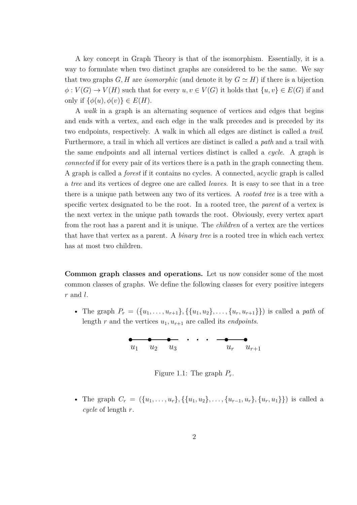A key concept in Graph Theory is that of the isomorphism. Essentially, it is a way to formulate when two distinct graphs are considered to be the same. We say that two graphs *G, H* are *isomorphic* (and denote it by  $G \simeq H$ ) if there is a bijection  $\phi: V(G) \to V(H)$  such that for every  $u, v \in V(G)$  it holds that  $\{u, v\} \in E(G)$  if and only if  $\{\phi(u), \phi(v)\} \in E(H)$ .

A *walk* in a graph is an alternating sequence of vertices and edges that begins and ends with a vertex, and each edge in the walk precedes and is preceded by its two endpoints, respectively. A walk in which all edges are distinct is called a *trail*. Furthermore, a trail in which all vertices are distinct is called a *path* and a trail with the same endpoints and all internal vertices distinct is called a *cycle*. A graph is *connected* if for every pair of its vertices there is a path in the graph connecting them. A graph is called a *forest* if it contains no cycles. A connected, acyclic graph is called a *tree* and its vertices of degree one are called *leaves*. It is easy to see that in a tree there is a unique path between any two of its vertices. A *rooted tree* is a tree with a specific vertex designated to be the root. In a rooted tree, the *parent* of a vertex is the next vertex in the unique path towards the root. Obviously, every vertex apart from the root has a parent and it is unique. The *children* of a vertex are the vertices that have that vertex as a parent. A *binary tree* is a rooted tree in which each vertex has at most two children.

**Common graph classes and operations.** Let us now consider some of the most common classes of graphs. We define the following classes for every positive integers *r* and *l*.

• The graph  $P_r = (\{u_1, \ldots, u_{r+1}\}, \{\{u_1, u_2\}, \ldots, \{u_r, u_{r+1}\}\})$  is called a path of length  $r$  and the vertices  $u_1, u_{r+1}$  are called its *endpoints*.



Figure 1.1: The graph  $P_r$ .

• The graph  $C_r = (\{u_1, \ldots, u_r\}, \{\{u_1, u_2\}, \ldots, \{u_{r-1}, u_r\}, \{u_r, u_1\}\})$  is called a *cycle* of length *r*.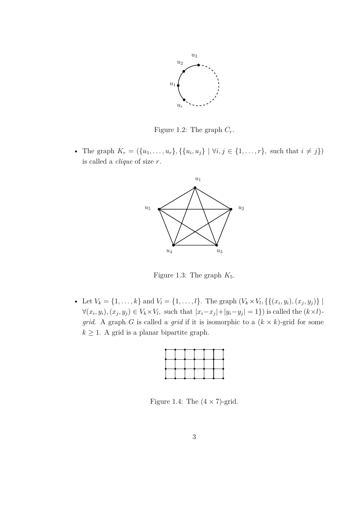

Figure 1.2: The graph  $C_r$ .

• The graph  $K_r = (\{u_1, \ldots, u_r\}, \{\{u_i, u_j\} \mid \forall i, j \in \{1, \ldots, r\}, \text{ such that } i \neq j\})$ is called a *clique* of size *r*.



Figure 1.3: The graph  $K_5$ .

• Let  $V_k = \{1, ..., k\}$  and  $V_l = \{1, ..., l\}$ . The graph  $(V_k \times V_l, \{((x_i, y_i), (x_j, y_j))\})$  $\forall (x_i, y_i), (x_j, y_j) \in V_k \times V_l$ , such that  $|x_i - x_j| + |y_i - y_j| = 1$  is called the  $(k \times l)$ . *grid*. A graph *G* is called a *grid* if it is isomorphic to a  $(k \times k)$ -grid for some  $k \geq 1$ . A grid is a planar bipartite graph.

Figure 1.4: The  $(4 \times 7)$ -grid.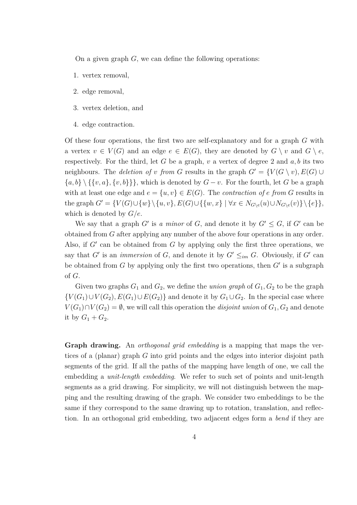On a given graph *G*, we can define the following operations:

- 1. vertex removal,
- 2. edge removal,
- 3. vertex deletion, and
- 4. edge contraction.

Of these four operations, the first two are self-explanatory and for a graph *G* with a vertex  $v \in V(G)$  and an edge  $e \in E(G)$ , they are denoted by  $G \setminus v$  and  $G \setminus e$ , respectively. For the third, let  $G$  be a graph,  $v$  a vertex of degree 2 and  $a, b$  its two neighbours. The *deletion of v from G* results in the graph  $G' = \{V(G \setminus v), E(G) \cup$ *{a, b} \ {{v, a}, {v, b}}}*, which is denoted by *G − v*. For the fourth, let *G* be a graph with at least one edge and  $e = \{u, v\} \in E(G)$ . The *contraction of e from G* results in the graph  $G' = \{V(G) \cup \{w\} \setminus \{u, v\}, E(G) \cup \{\{w, x\} \mid \forall x \in N_{G \setminus e}(u) \cup N_{G \setminus e}(v)\}\setminus \{e\}\},\$ which is denoted by *G*/*e*.

We say that a graph  $G'$  is *a minor* of  $G$ , and denote it by  $G' \leq G$ , if  $G'$  can be obtained from *G* after applying any number of the above four operations in any order. Also, if *G′* can be obtained from *G* by applying only the first three operations, we say that *G'* is an *immersion* of *G*, and denote it by  $G' \leq_{im} G$ . Obviously, if  $G'$  can be obtained from *G* by applying only the first two operations, then *G′* is a subgraph of *G*.

Given two graphs  $G_1$  and  $G_2$ , we define the *union graph* of  $G_1, G_2$  to be the graph *{V*(*G*<sub>1</sub>)*∪V*(*G*<sub>2</sub>)*, E*(*G*<sub>1</sub>)*∪E*(*G*<sub>2</sub>)} and denote it by *G*<sub>1</sub>∪*G*<sub>2</sub>. In the special case where *V*( $G_1$ )∩*V*( $G_2$ ) =  $\emptyset$ , we will call this operation the *disjoint union* of  $G_1$ ,  $G_2$  and denote it by  $G_1 + G_2$ .

**Graph drawing.** An *orthogonal grid embedding* is a mapping that maps the vertices of a (planar) graph *G* into grid points and the edges into interior disjoint path segments of the grid. If all the paths of the mapping have length of one, we call the embedding a *unit-length embedding*. We refer to such set of points and unit-length segments as a grid drawing. For simplicity, we will not distinguish between the mapping and the resulting drawing of the graph. We consider two embeddings to be the same if they correspond to the same drawing up to rotation, translation, and reflection. In an orthogonal grid embedding, two adjacent edges form a *bend* if they are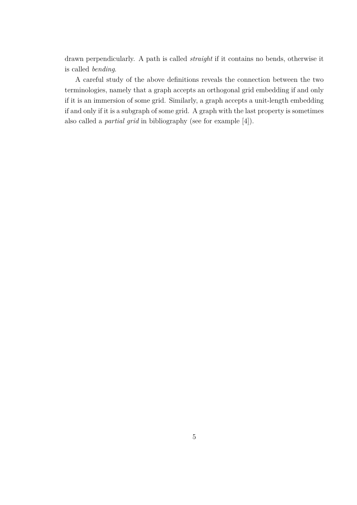drawn perpendicularly. A path is called *straight* if it contains no bends, otherwise it is called *bending*.

A careful study of the above definitions reveals the connection between the two terminologies, namely that a graph accepts an orthogonal grid embedding if and only if it is an immersion of some grid. Similarly, a graph accepts a unit-length embedding if and only if it is a subgraph of some grid. A graph with the last property is sometimes also called a *partial grid* in bibliography (see for example [4]).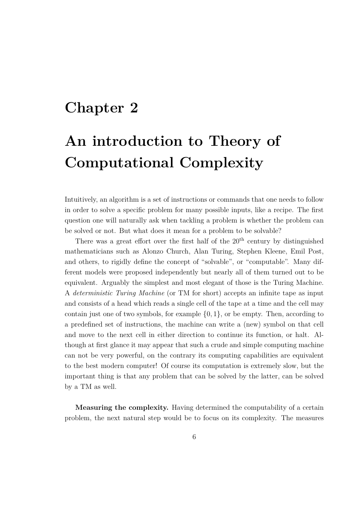### **Chapter 2**

## **An introduction to Theory of Computational Complexity**

Intuitively, an algorithm is a set of instructions or commands that one needs to follow in order to solve a specific problem for many possible inputs, like a recipe. The first question one will naturally ask when tackling a problem is whether the problem can be solved or not. But what does it mean for a problem to be solvable?

There was a great effort over the first half of the  $20<sup>th</sup>$  century by distinguished mathematicians such as Alonzo Church, Alan Turing, Stephen Kleene, Emil Post, and others, to rigidly define the concept of "solvable", or "computable". Many different models were proposed independently but nearly all of them turned out to be equivalent. Arguably the simplest and most elegant of those is the Turing Machine. A *deterministic Turing Machine* (or TM for short) accepts an infinite tape as input and consists of a head which reads a single cell of the tape at a time and the cell may contain just one of two symbols, for example *{*0*,* 1*}*, or be empty. Then, according to a predefined set of instructions, the machine can write a (new) symbol on that cell and move to the next cell in either direction to continue its function, or halt. Although at first glance it may appear that such a crude and simple computing machine can not be very powerful, on the contrary its computing capabilities are equivalent to the best modern computer! Of course its computation is extremely slow, but the important thing is that any problem that can be solved by the latter, can be solved by a TM as well.

**Measuring the complexity.** Having determined the computability of a certain problem, the next natural step would be to focus on its complexity. The measures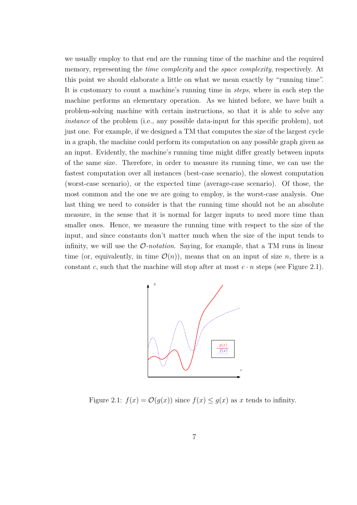we usually employ to that end are the running time of the machine and the required memory, representing the *time complexity* and the *space complexity*, respectively. At this point we should elaborate a little on what we mean exactly by "running time". It is customary to count a machine's running time in *steps*, where in each step the machine performs an elementary operation. As we hinted before, we have built a problem-solving machine with certain instructions, so that it is able to solve any *instance* of the problem (i.e., any possible data-input for this specific problem), not just one. For example, if we designed a TM that computes the size of the largest cycle in a graph, the machine could perform its computation on any possible graph given as an input. Evidently, the machine's running time might differ greatly between inputs of the same size. Therefore, in order to measure its running time, we can use the fastest computation over all instances (best-case scenario), the slowest computation (worst-case scenario), or the expected time (average-case scenario). Of those, the most common and the one we are going to employ, is the worst-case analysis. One last thing we need to consider is that the running time should not be an absolute measure, in the sense that it is normal for larger inputs to need more time than smaller ones. Hence, we measure the running time with respect to the size of the input, and since constants don't matter much when the size of the input tends to infinity, we will use the *O-notation*. Saying, for example, that a TM runs in linear time (or, equivalently, in time  $\mathcal{O}(n)$ ), means that on an input of size *n*, there is a constant *c*, such that the machine will stop after at most  $c \cdot n$  steps (see Figure 2.1).



Figure 2.1:  $f(x) = \mathcal{O}(g(x))$  since  $f(x) \leq g(x)$  as *x* tends to infinity.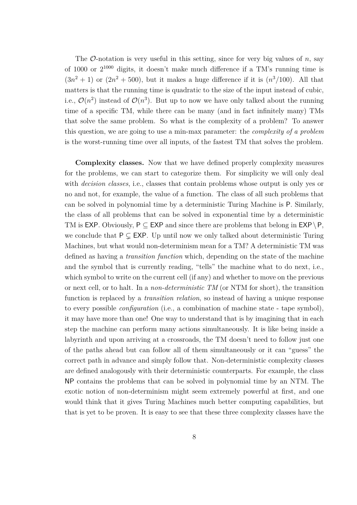The  $\mathcal{O}$ -notation is very useful in this setting, since for very big values of *n*, say of 1000 or 2 <sup>1000</sup> digits, it doesn't make much difference if a TM's running time is  $(3n^2+1)$  or  $(2n^2+500)$ , but it makes a huge difference if it is  $(n^3/100)$ . All that matters is that the running time is quadratic to the size of the input instead of cubic, i.e.,  $\mathcal{O}(n^2)$  instead of  $\mathcal{O}(n^3)$ . But up to now we have only talked about the running time of a specific TM, while there can be many (and in fact infinitely many) TMs that solve the same problem. So what is the complexity of a problem? To answer this question, we are going to use a min-max parameter: the *complexity of a problem* is the worst-running time over all inputs, of the fastest TM that solves the problem.

**Complexity classes.** Now that we have defined properly complexity measures for the problems, we can start to categorize them. For simplicity we will only deal with *decision classes*, i.e., classes that contain problems whose output is only yes or no and not, for example, the value of a function. The class of all such problems that can be solved in polynomial time by a deterministic Turing Machine is P. Similarly, the class of all problems that can be solved in exponential time by a deterministic TM is EXP. Obviously, P *⊆* EXP and since there are problems that belong in EXP*\*P, we conclude that  $P \subsetneq EXP$ . Up until now we only talked about deterministic Turing Machines, but what would non-determinism mean for a TM? A deterministic TM was defined as having a *transition function* which, depending on the state of the machine and the symbol that is currently reading, "tells" the machine what to do next, i.e., which symbol to write on the current cell (if any) and whether to move on the previous or next cell, or to halt. In a *non-deterministic TM* (or NTM for short), the transition function is replaced by a *transition relation*, so instead of having a unique response to every possible *configuration* (i.e., a combination of machine state - tape symbol), it may have more than one! One way to understand that is by imagining that in each step the machine can perform many actions simultaneously. It is like being inside a labyrinth and upon arriving at a crossroads, the TM doesn't need to follow just one of the paths ahead but can follow all of them simultaneously or it can "guess" the correct path in advance and simply follow that. Non-deterministic complexity classes are defined analogously with their deterministic counterparts. For example, the class NP contains the problems that can be solved in polynomial time by an NTM. The exotic notion of non-determinism might seem extremely powerful at first, and one would think that it gives Turing Machines much better computing capabilities, but that is yet to be proven. It is easy to see that these three complexity classes have the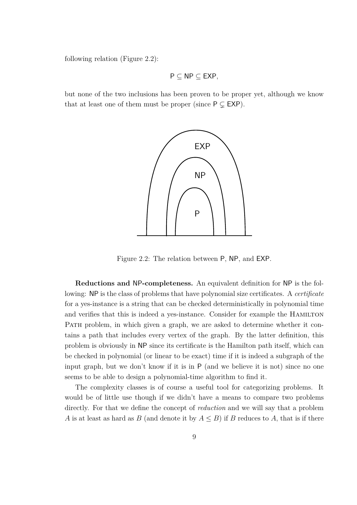following relation (Figure 2.2):

$$
P\subseteq NP\subseteq EXP,
$$

but none of the two inclusions has been proven to be proper yet, although we know that at least one of them must be proper (since  $P \subseteq EXP$ ).



Figure 2.2: The relation between P, NP, and EXP.

**Reductions and** NP**-completeness.** An equivalent definition for NP is the following: NP is the class of problems that have polynomial size certificates. A *certificate* for a yes-instance is a string that can be checked deterministically in polynomial time and verifies that this is indeed a yes-instance. Consider for example the HAMILTON PATH problem, in which given a graph, we are asked to determine whether it contains a path that includes every vertex of the graph. By the latter definition, this problem is obviously in NP since its certificate is the Hamilton path itself, which can be checked in polynomial (or linear to be exact) time if it is indeed a subgraph of the input graph, but we don't know if it is in P (and we believe it is not) since no one seems to be able to design a polynomial-time algorithm to find it.

The complexity classes is of course a useful tool for categorizing problems. It would be of little use though if we didn't have a means to compare two problems directly. For that we define the concept of *reduction* and we will say that a problem *A* is at least as hard as *B* (and denote it by  $A \leq B$ ) if *B* reduces to *A*, that is if there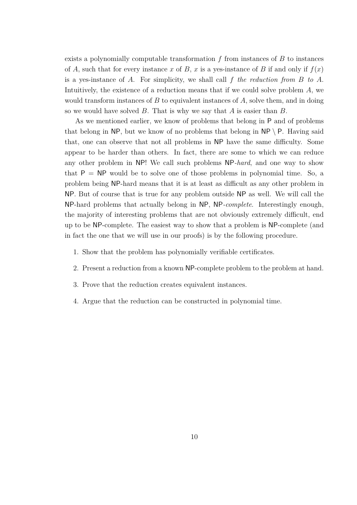exists a polynomially computable transformation *f* from instances of *B* to instances of *A*, such that for every instance *x* of *B*, *x* is a yes-instance of *B* if and only if  $f(x)$ is a yes-instance of *A*. For simplicity, we shall call *f the reduction from B to A*. Intuitively, the existence of a reduction means that if we could solve problem *A*, we would transform instances of *B* to equivalent instances of *A*, solve them, and in doing so we would have solved *B*. That is why we say that *A* is easier than *B*.

As we mentioned earlier, we know of problems that belong in P and of problems that belong in NP, but we know of no problems that belong in  $\mathsf{NP} \setminus \mathsf{P}$ . Having said that, one can observe that not all problems in NP have the same difficulty. Some appear to be harder than others. In fact, there are some to which we can reduce any other problem in NP! We call such problems NP*-hard*, and one way to show that  $P = NP$  would be to solve one of those problems in polynomial time. So, a problem being NP-hard means that it is at least as difficult as any other problem in NP. But of course that is true for any problem outside NP as well. We will call the NP-hard problems that actually belong in NP, NP*-complete*. Interestingly enough, the majority of interesting problems that are not obviously extremely difficult, end up to be NP-complete. The easiest way to show that a problem is NP-complete (and in fact the one that we will use in our proofs) is by the following procedure.

- 1. Show that the problem has polynomially verifiable certificates.
- 2. Present a reduction from a known NP-complete problem to the problem at hand.
- 3. Prove that the reduction creates equivalent instances.
- 4. Argue that the reduction can be constructed in polynomial time.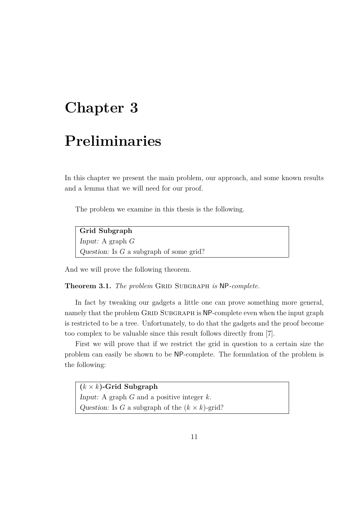### **Chapter 3**

### **Preliminaries**

In this chapter we present the main problem, our approach, and some known results and a lemma that we will need for our proof.

The problem we examine in this thesis is the following.

**Grid Subgraph** *Input:* A graph *G Question:* Is *G* a subgraph of some grid?

And we will prove the following theorem.

**Theorem 3.1.** *The problem* GRID SUBGRAPH *is* NP-complete.

In fact by tweaking our gadgets a little one can prove something more general, namely that the problem GRID SUBGRAPH is NP-complete even when the input graph is restricted to be a tree. Unfortunately, to do that the gadgets and the proof become too complex to be valuable since this result follows directly from [7].

First we will prove that if we restrict the grid in question to a certain size the problem can easily be shown to be NP-complete. The formulation of the problem is the following:

**(***k × k***)-Grid Subgraph** *Input:* A graph *G* and a positive integer *k*. *Question:* Is *G* a subgraph of the  $(k \times k)$ -grid?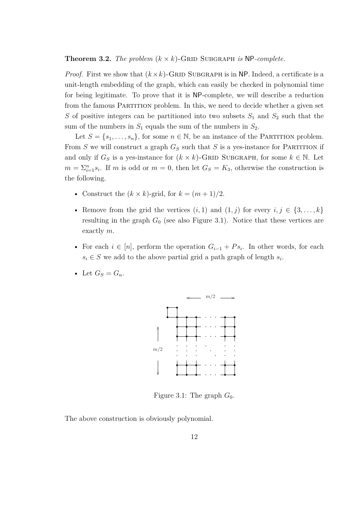**Theorem 3.2.** *The problem*  $(k \times k)$ -GRID SUBGRAPH *is* NP-*complete.* 

*Proof.* First we show that  $(k \times k)$ -GRID SUBGRAPH is in NP. Indeed, a certificate is a unit-length embedding of the graph, which can easily be checked in polynomial time for being legitimate. To prove that it is NP-complete, we will describe a reduction from the famous PARTITION problem. In this, we need to decide whether a given set *S* of positive integers can be partitioned into two subsets  $S_1$  and  $S_2$  such that the sum of the numbers in  $S_1$  equals the sum of the numbers in  $S_2$ .

Let  $S = \{s_1, \ldots, s_n\}$ , for some  $n \in \mathbb{N}$ , be an instance of the PARTITION problem. From  $S$  we will construct a graph  $G_S$  such that  $S$  is a yes-instance for PARTITION if and only if  $G_S$  is a yes-instance for  $(k \times k)$ -GRID SUBGRAPH, for some  $k \in \mathbb{N}$ . Let  $m = \sum_{i=1}^{n} s_i$ . If *m* is odd or  $m = 0$ , then let  $G_S = K_3$ , otherwise the construction is the following.

- Construct the  $(k \times k)$ -grid, for  $k = (m+1)/2$ .
- Remove from the grid the vertices  $(i, 1)$  and  $(1, j)$  for every  $i, j \in \{3, \ldots, k\}$ resulting in the graph  $G_0$  (see also Figure 3.1). Notice that these vertices are exactly *m*.
- For each  $i \in [n]$ , perform the operation  $G_{i-1} + Ps_i$ . In other words, for each  $s_i \in S$  we add to the above partial grid a path graph of length  $s_i$ .
- Let  $G_S = G_n$ .



Figure 3.1: The graph  $G_0$ .

The above construction is obviously polynomial.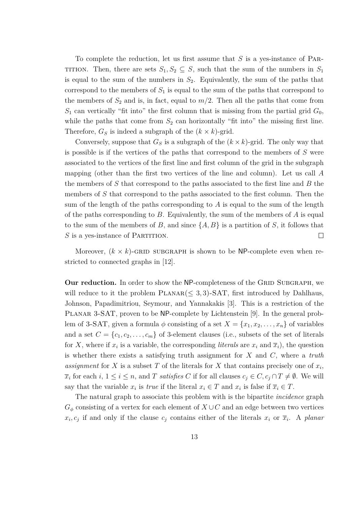To complete the reduction, let us first assume that *S* is a yes-instance of Par-TITION. Then, there are sets  $S_1, S_2 \subseteq S$ , such that the sum of the numbers in  $S_1$ is equal to the sum of the numbers in  $S_2$ . Equivalently, the sum of the paths that correspond to the members of  $S_1$  is equal to the sum of the paths that correspond to the members of  $S_2$  and is, in fact, equal to  $m/2$ . Then all the paths that come from  $S_1$  can vertically "fit into" the first column that is missing from the partial grid  $G_0$ , while the paths that come from  $S_2$  can horizontally "fit into" the missing first line. Therefore,  $G_S$  is indeed a subgraph of the  $(k \times k)$ -grid.

Conversely, suppose that  $G<sub>S</sub>$  is a subgraph of the  $(k \times k)$ -grid. The only way that is possible is if the vertices of the paths that correspond to the members of *S* were associated to the vertices of the first line and first column of the grid in the subgraph mapping (other than the first two vertices of the line and column). Let us call *A* the members of *S* that correspond to the paths associated to the first line and *B* the members of *S* that correspond to the paths associated to the first column. Then the sum of the length of the paths corresponding to *A* is equal to the sum of the length of the paths corresponding to *B*. Equivalently, the sum of the members of *A* is equal to the sum of the members of *B*, and since  $\{A, B\}$  is a partition of *S*, it follows that *S* is a yes-instance of PARTITION. П

Moreover,  $(k \times k)$ -GRID SUBGRAPH is shown to be NP-complete even when restricted to connected graphs in [12].

**Our reduction.** In order to show the NP-completeness of the GRID SUBGRAPH, we will reduce to it the problem  $PLANAR(\leq 3, 3)$ -SAT, first introduced by Dahlhaus, Johnson, Papadimitriou, Seymour, and Yannakakis [3]. This is a restriction of the PLANAR 3-SAT, proven to be NP-complete by Lichtenstein [9]. In the general problem of 3-SAT, given a formula  $\phi$  consisting of a set  $X = \{x_1, x_2, \ldots, x_n\}$  of variables and a set  $C = \{c_1, c_2, \ldots, c_m\}$  of 3-element clauses (i.e., subsets of the set of literals for *X*, where if  $x_i$  is a variable, the corresponding *literals* are  $x_i$  and  $\overline{x}_i$ , the question is whether there exists a satisfying truth assignment for *X* and *C*, where a *truth* assignment for *X* is a subset *T* of the literals for *X* that contains precisely one of  $x_i$ ,  $\overline{x}_i$  for each  $i, 1 \leq i \leq n$ , and *T satisfies C* if for all clauses  $c_j \in C, c_j \cap T \neq \emptyset$ . We will say that the variable  $x_i$  is *true* if the literal  $x_i \in T$  and  $x_i$  is false if  $\overline{x}_i \in T$ .

The natural graph to associate this problem with is the bipartite *incidence* graph  $G_{\phi}$  consisting of a vertex for each element of  $X \cup C$  and an edge between two vertices  $x_i, c_j$  if and only if the clause  $c_j$  contains either of the literals  $x_i$  or  $\overline{x}_i$ . A *planar*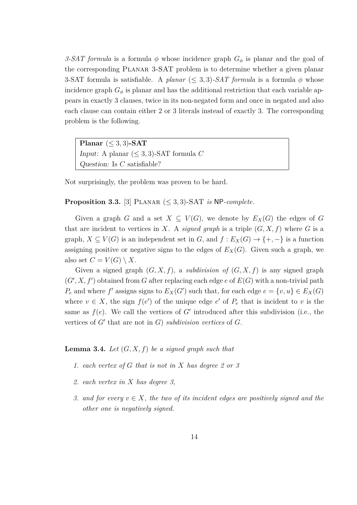*3-SAT formula* is a formula  $\phi$  whose incidence graph  $G_{\phi}$  is planar and the goal of the corresponding Planar 3-SAT problem is to determine whether a given planar 3-SAT formula is satisfiable. A *planar* ( $\leq$  3, 3)*-SAT formula* is a formula  $\phi$  whose incidence graph  $G_{\phi}$  is planar and has the additional restriction that each variable appears in exactly 3 clauses, twice in its non-negated form and once in negated and also each clause can contain either 2 or 3 literals instead of exactly 3. The corresponding problem is the following.

**Planar** ( $\leq$  3, 3)**-SAT** *Input:* A planar  $(\leq 3, 3)$ -SAT formula *C Question:* Is *C* satisfiable?

Not surprisingly, the problem was proven to be hard.

#### **Proposition 3.3.** [3] PLANAR  $(\leq 3, 3)$ -SAT *is* NP-*complete.*

Given a graph *G* and a set  $X \subseteq V(G)$ , we denote by  $E_X(G)$  the edges of *G* that are incident to vertices in *X*. A *signed graph* is a triple  $(G, X, f)$  where *G* is a graph,  $X \subseteq V(G)$  is an independent set in *G*, and  $f : E_X(G) \to \{+, -\}$  is a function assigning positive or negative signs to the edges of  $E_X(G)$ . Given such a graph, we also set  $C = V(G) \setminus X$ .

Given a signed graph  $(G, X, f)$ , a *subdivision of*  $(G, X, f)$  is any signed graph  $(G', X, f')$  obtained from *G* after replacing each edge *e* of  $E(G)$  with a non-trivial path *P*<sup>*e*</sup> and where *f'* assigns signs to  $E_X(G')$  such that, for each edge  $e = \{v, u\} \in E_X(G)$ where  $v \in X$ , the sign  $f(e')$  of the unique edge  $e'$  of  $P_e$  that is incident to  $v$  is the same as  $f(e)$ . We call the vertices of  $G'$  introduced after this subdivision (i.e., the vertices of *G′* that are not in *G*) *subdivision vertices* of *G*.

#### **Lemma 3.4.** *Let* (*G, X, f*) *be a signed graph such that*

- *1. each vertex of G that is not in X has degree 2 or 3*
- *2. each vertex in X has degree 3,*
- *3.* and for every  $v \in X$ , the two of its incident edges are positively signed and the *other one is negatively signed.*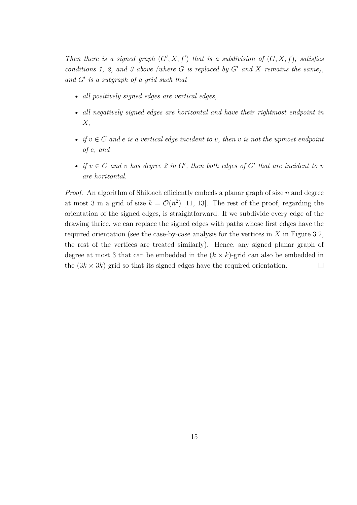*Then there is a signed graph*  $(G', X, f')$  *that is a subdivision of*  $(G, X, f)$ *, satisfies conditions 1, 2, and 3 above (where G is replaced by G′ and X remains the same), and G′ is a subgraph of a grid such that*

- *• all positively signed edges are vertical edges,*
- *• all negatively signed edges are horizontal and have their rightmost endpoint in X,*
- *if*  $v \in C$  *and*  $e$  *is a vertical edge incident to v, then*  $v$  *is not the upmost endpoint of e, and*
- *if*  $v \in C$  *and v has degree* 2 *in*  $G'$ , *then both edges of*  $G'$  *that are incident to v are horizontal.*

*Proof.* An algorithm of Shiloach efficiently embeds a planar graph of size *n* and degree at most 3 in a grid of size  $k = \mathcal{O}(n^2)$  [11, 13]. The rest of the proof, regarding the orientation of the signed edges, is straightforward. If we subdivide every edge of the drawing thrice, we can replace the signed edges with paths whose first edges have the required orientation (see the case-by-case analysis for the vertices in *X* in Figure 3.2, the rest of the vertices are treated similarly). Hence, any signed planar graph of degree at most 3 that can be embedded in the  $(k \times k)$ -grid can also be embedded in the  $(3k \times 3k)$ -grid so that its signed edges have the required orientation.  $\Box$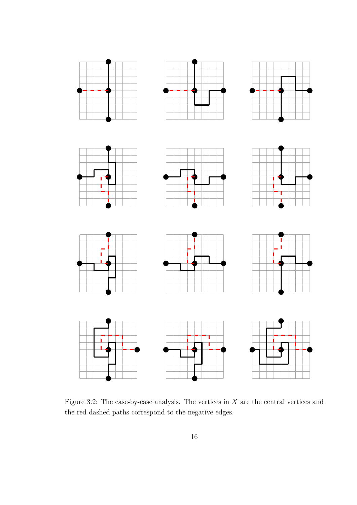













Figure 3.2: The case-by-case analysis. The vertices in *X* are the central vertices and the red dashed paths correspond to the negative edges.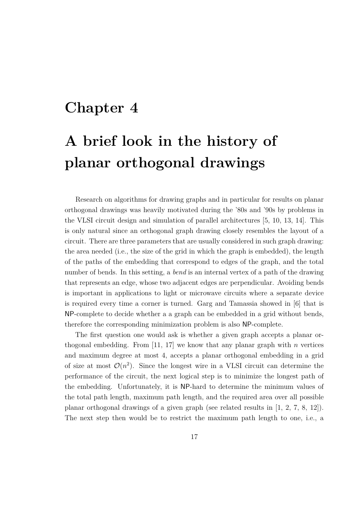### **Chapter 4**

## **A brief look in the history of planar orthogonal drawings**

Research on algorithms for drawing graphs and in particular for results on planar orthogonal drawings was heavily motivated during the '80s and '90s by problems in the VLSI circuit design and simulation of parallel architectures [5, 10, 13, 14]. This is only natural since an orthogonal graph drawing closely resembles the layout of a circuit. There are three parameters that are usually considered in such graph drawing: the area needed (i.e., the size of the grid in which the graph is embedded), the length of the paths of the embedding that correspond to edges of the graph, and the total number of bends. In this setting, a *bend* is an internal vertex of a path of the drawing that represents an edge, whose two adjacent edges are perpendicular. Avoiding bends is important in applications to light or microwave circuits where a separate device is required every time a corner is turned. Garg and Tamassia showed in [6] that is NP-complete to decide whether a a graph can be embedded in a grid without bends, therefore the corresponding minimization problem is also NP-complete.

The first question one would ask is whether a given graph accepts a planar orthogonal embedding. From [11, 17] we know that any planar graph with *n* vertices and maximum degree at most 4, accepts a planar orthogonal embedding in a grid of size at most  $\mathcal{O}(n^2)$ . Since the longest wire in a VLSI circuit can determine the performance of the circuit, the next logical step is to minimize the longest path of the embedding. Unfortunately, it is NP-hard to determine the minimum values of the total path length, maximum path length, and the required area over all possible planar orthogonal drawings of a given graph (see related results in [1, 2, 7, 8, 12]). The next step then would be to restrict the maximum path length to one, i.e., a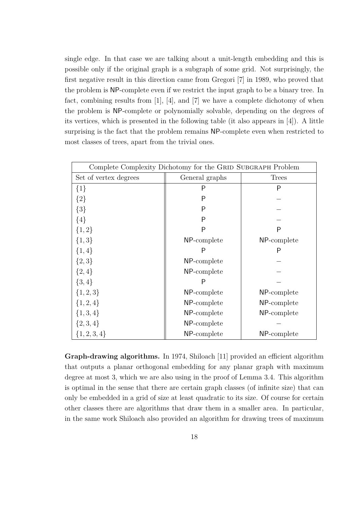single edge. In that case we are talking about a unit-length embedding and this is possible only if the original graph is a subgraph of some grid. Not surprisingly, the first negative result in this direction came from Gregori [7] in 1989, who proved that the problem is NP-complete even if we restrict the input graph to be a binary tree. In fact, combining results from [1], [4], and [7] we have a complete dichotomy of when the problem is NP-complete or polynomially solvable, depending on the degrees of its vertices, which is presented in the following table (it also appears in [4]). A little surprising is the fact that the problem remains NP-complete even when restricted to most classes of trees, apart from the trivial ones.

| Complete Complexity Dichotomy for the GRID SUBGRAPH Problem |                |              |  |  |
|-------------------------------------------------------------|----------------|--------------|--|--|
| Set of vertex degrees                                       | General graphs | <b>Trees</b> |  |  |
| $\{1\}$                                                     | P              | P            |  |  |
| ${2}$                                                       | P              |              |  |  |
| ${3}$                                                       | P              |              |  |  |
| $\{4\}$                                                     | P              |              |  |  |
| ${1,2}$                                                     | P              | P            |  |  |
| ${1,3}$                                                     | NP-complete    | NP-complete  |  |  |
| $\{1,4\}$                                                   | P              | P            |  |  |
| ${2,3}$                                                     | NP-complete    |              |  |  |
| $\{2,4\}$                                                   | NP-complete    |              |  |  |
| $\{3,4\}$                                                   | P              |              |  |  |
| $\{1, 2, 3\}$                                               | NP-complete    | NP-complete  |  |  |
| $\{1, 2, 4\}$                                               | NP-complete    | NP-complete  |  |  |
| $\{1,3,4\}$                                                 | NP-complete    | NP-complete  |  |  |
| $\{2,3,4\}$                                                 | NP-complete    |              |  |  |
| $\{1, 2, 3, 4\}$                                            | NP-complete    | NP-complete  |  |  |

**Graph-drawing algorithms.** In 1974, Shiloach [11] provided an efficient algorithm that outputs a planar orthogonal embedding for any planar graph with maximum degree at most 3, which we are also using in the proof of Lemma 3.4. This algorithm is optimal in the sense that there are certain graph classes (of infinite size) that can only be embedded in a grid of size at least quadratic to its size. Of course for certain other classes there are algorithms that draw them in a smaller area. In particular, in the same work Shiloach also provided an algorithm for drawing trees of maximum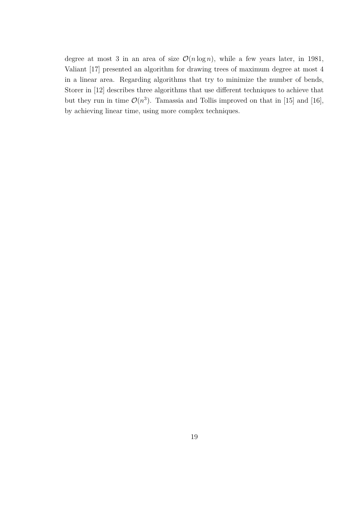degree at most 3 in an area of size  $\mathcal{O}(n \log n)$ , while a few years later, in 1981, Valiant [17] presented an algorithm for drawing trees of maximum degree at most 4 in a linear area. Regarding algorithms that try to minimize the number of bends, Storer in [12] describes three algorithms that use different techniques to achieve that but they run in time  $\mathcal{O}(n^3)$ . Tamassia and Tollis improved on that in [15] and [16], by achieving linear time, using more complex techniques.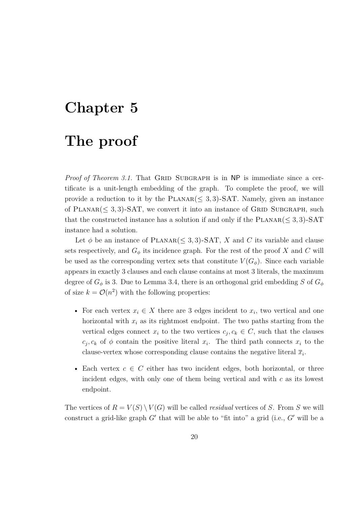## **Chapter 5**

### **The proof**

*Proof of Theorem 3.1.* That GRID SUBGRAPH is in NP is immediate since a certificate is a unit-length embedding of the graph. To complete the proof, we will provide a reduction to it by the  $PLANAR(\leq 3, 3)$ -SAT. Namely, given an instance of  $PLANAR \leq 3, 3$ -SAT, we convert it into an instance of GRID SUBGRAPH, such that the constructed instance has a solution if and only if the  $PLANAR \leq 3, 3)$ -SAT instance had a solution.

Let  $\phi$  be an instance of PLANAR( $\leq$  3, 3)-SAT, X and C its variable and clause sets respectively, and  $G_{\phi}$  its incidence graph. For the rest of the proof *X* and *C* will be used as the corresponding vertex sets that constitute  $V(G_{\phi})$ . Since each variable appears in exactly 3 clauses and each clause contains at most 3 literals, the maximum degree of  $G_{\phi}$  is 3. Due to Lemma 3.4, there is an orthogonal grid embedding *S* of  $G_{\phi}$ of size  $k = \mathcal{O}(n^2)$  with the following properties:

- For each vertex  $x_i \in X$  there are 3 edges incident to  $x_i$ , two vertical and one horizontal with  $x_i$  as its rightmost endpoint. The two paths starting from the vertical edges connect  $x_i$  to the two vertices  $c_j, c_k \in C$ , such that the clauses  $c_j, c_k$  of  $\phi$  contain the positive literal  $x_i$ . The third path connects  $x_i$  to the clause-vertex whose corresponding clause contains the negative literal  $\overline{x}_i$ .
- Each vertex *c ∈ C* either has two incident edges, both horizontal, or three incident edges, with only one of them being vertical and with *c* as its lowest endpoint.

The vertices of  $R = V(S) \setminus V(G)$  will be called *residual* vertices of *S*. From *S* we will construct a grid-like graph *G′* that will be able to "fit into" a grid (i.e., *G′* will be a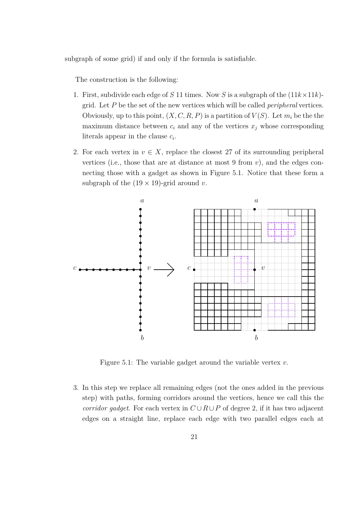subgraph of some grid) if and only if the formula is satisfiable.

The construction is the following:

- 1. First, subdivide each edge of *S* 11 times. Now *S* is a subgraph of the  $(11k \times 11k)$ grid. Let *P* be the set of the new vertices which will be called *peripheral* vertices. Obviously, up to this point,  $(X, C, R, P)$  is a partition of  $V(S)$ . Let  $m_i$  be the the maximum distance between  $c_i$  and any of the vertices  $x_j$  whose corresponding literals appear in the clause *c<sup>i</sup>* .
- 2. For each vertex in  $v \in X$ , replace the closest 27 of its surrounding peripheral vertices (i.e., those that are at distance at most  $9$  from  $v$ ), and the edges connecting those with a gadget as shown in Figure 5.1. Notice that these form a subgraph of the  $(19 \times 19)$ -grid around *v*.



Figure 5.1: The variable gadget around the variable vertex *v*.

3. In this step we replace all remaining edges (not the ones added in the previous step) with paths, forming corridors around the vertices, hence we call this the *corridor gadget.* For each vertex in  $C \cup R \cup P$  of degree 2, if it has two adjacent edges on a straight line, replace each edge with two parallel edges each at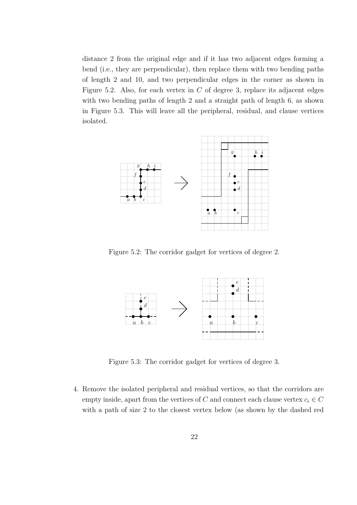distance 2 from the original edge and if it has two adjacent edges forming a bend (i.e., they are perpendicular), then replace them with two bending paths of length 2 and 10, and two perpendicular edges in the corner as shown in Figure 5.2. Also, for each vertex in *C* of degree 3, replace its adjacent edges with two bending paths of length 2 and a straight path of length 6, as shown in Figure 5.3. This will leave all the peripheral, residual, and clause vertices isolated.



Figure 5.2: The corridor gadget for vertices of degree 2.



Figure 5.3: The corridor gadget for vertices of degree 3.

4. Remove the isolated peripheral and residual vertices, so that the corridors are empty inside, apart from the vertices of *C* and connect each clause vertex  $c_i \in C$ with a path of size 2 to the closest vertex below (as shown by the dashed red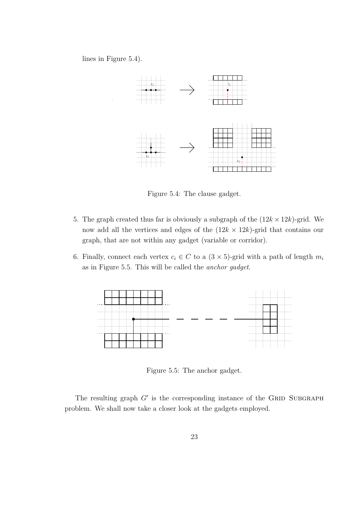lines in Figure 5.4).



Figure 5.4: The clause gadget.

- 5. The graph created thus far is obviously a subgraph of the  $(12k \times 12k)$ -grid. We now add all the vertices and edges of the  $(12k \times 12k)$ -grid that contains our graph, that are not within any gadget (variable or corridor).
- 6. Finally, connect each vertex  $c_i \in C$  to a  $(3 \times 5)$ -grid with a path of length  $m_i$ as in Figure 5.5. This will be called the *anchor gadget*.



Figure 5.5: The anchor gadget.

The resulting graph  $G'$  is the corresponding instance of the GRID SUBGRAPH problem. We shall now take a closer look at the gadgets employed.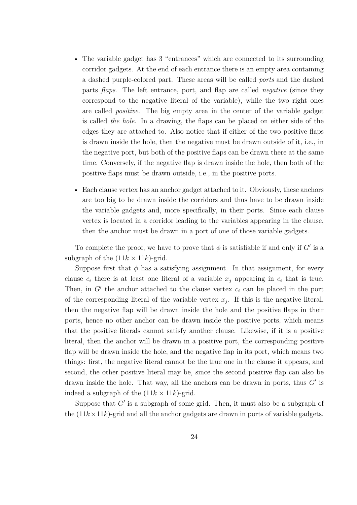- The variable gadget has 3 "entrances" which are connected to its surrounding corridor gadgets. At the end of each entrance there is an empty area containing a dashed purple-colored part. These areas will be called *ports* and the dashed parts *flaps*. The left entrance, port, and flap are called *negative* (since they correspond to the negative literal of the variable), while the two right ones are called *positive*. The big empty area in the center of the variable gadget is called *the hole*. In a drawing, the flaps can be placed on either side of the edges they are attached to. Also notice that if either of the two positive flaps is drawn inside the hole, then the negative must be drawn outside of it, i.e., in the negative port, but both of the positive flaps can be drawn there at the same time. Conversely, if the negative flap is drawn inside the hole, then both of the positive flaps must be drawn outside, i.e., in the positive ports.
- Each clause vertex has an anchor gadget attached to it. Obviously, these anchors are too big to be drawn inside the corridors and thus have to be drawn inside the variable gadgets and, more specifically, in their ports. Since each clause vertex is located in a corridor leading to the variables appearing in the clause, then the anchor must be drawn in a port of one of those variable gadgets.

To complete the proof, we have to prove that  $\phi$  is satisfiable if and only if  $G'$  is a subgraph of the  $(11k \times 11k)$ -grid.

Suppose first that  $\phi$  has a satisfying assignment. In that assignment, for every clause  $c_i$  there is at least one literal of a variable  $x_j$  appearing in  $c_i$  that is true. Then, in *G′* the anchor attached to the clause vertex *c<sup>i</sup>* can be placed in the port of the corresponding literal of the variable vertex  $x_j$ . If this is the negative literal, then the negative flap will be drawn inside the hole and the positive flaps in their ports, hence no other anchor can be drawn inside the positive ports, which means that the positive literals cannot satisfy another clause. Likewise, if it is a positive literal, then the anchor will be drawn in a positive port, the corresponding positive flap will be drawn inside the hole, and the negative flap in its port, which means two things: first, the negative literal cannot be the true one in the clause it appears, and second, the other positive literal may be, since the second positive flap can also be drawn inside the hole. That way, all the anchors can be drawn in ports, thus *G′* is indeed a subgraph of the  $(11k \times 11k)$ -grid.

Suppose that *G'* is a subgraph of some grid. Then, it must also be a subgraph of the  $(11k \times 11k)$ -grid and all the anchor gadgets are drawn in ports of variable gadgets.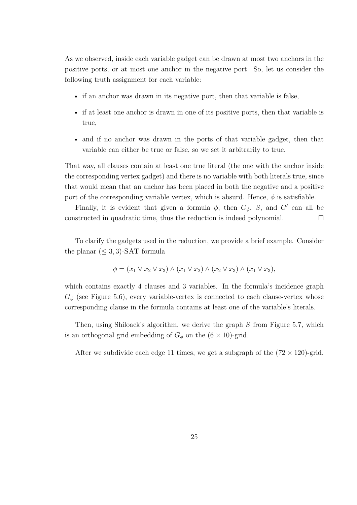As we observed, inside each variable gadget can be drawn at most two anchors in the positive ports, or at most one anchor in the negative port. So, let us consider the following truth assignment for each variable:

- if an anchor was drawn in its negative port, then that variable is false,
- if at least one anchor is drawn in one of its positive ports, then that variable is true,
- and if no anchor was drawn in the ports of that variable gadget, then that variable can either be true or false, so we set it arbitrarily to true.

That way, all clauses contain at least one true literal (the one with the anchor inside the corresponding vertex gadget) and there is no variable with both literals true, since that would mean that an anchor has been placed in both the negative and a positive port of the corresponding variable vertex, which is absurd. Hence,  $\phi$  is satisfiable.

Finally, it is evident that given a formula  $\phi$ , then  $G_{\phi}$ , *S*, and *G'* can all be constructed in quadratic time, thus the reduction is indeed polynomial.  $\Box$ 

To clarify the gadgets used in the reduction, we provide a brief example. Consider the planar  $(\leq 3, 3)$ -SAT formula

$$
\phi = (x_1 \lor x_2 \lor \overline{x}_3) \land (x_1 \lor \overline{x}_2) \land (x_2 \lor x_3) \land (\overline{x}_1 \lor x_3),
$$

which contains exactly 4 clauses and 3 variables. In the formula's incidence graph  $G_{\phi}$  (see Figure 5.6), every variable-vertex is connected to each clause-vertex whose corresponding clause in the formula contains at least one of the variable's literals.

Then, using Shiloack's algorithm, we derive the graph *S* from Figure 5.7, which is an orthogonal grid embedding of  $G_{\phi}$  on the  $(6 \times 10)$ -grid.

After we subdivide each edge 11 times, we get a subgraph of the  $(72 \times 120)$ -grid.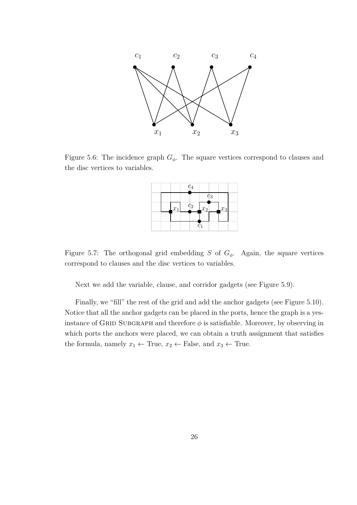

Figure 5.6: The incidence graph  $G_{\phi}$ . The square vertices correspond to clauses and the disc vertices to variables.

|  |       | $c_4$             |                      |                |       |  |
|--|-------|-------------------|----------------------|----------------|-------|--|
|  |       |                   |                      | c <sub>3</sub> |       |  |
|  | $x_1$ | $\frac{c_2}{c_1}$ | $\lfloor x_2\rfloor$ |                | $x_3$ |  |
|  |       |                   |                      |                |       |  |
|  |       |                   | $\scriptstyle{c_1}$  |                |       |  |

Figure 5.7: The orthogonal grid embedding *S* of  $G_{\phi}$ . Again, the square vertices correspond to clauses and the disc vertices to variables.

Next we add the variable, clause, and corridor gadgets (see Figure 5.9).

Finally, we "fill" the rest of the grid and add the anchor gadgets (see Figure 5.10). Notice that all the anchor gadgets can be placed in the ports, hence the graph is a yesinstance of GRID SUBGRAPH and therefore  $\phi$  is satisfiable. Moreover, by observing in which ports the anchors were placed, we can obtain a truth assignment that satisfies the formula, namely  $x_1 \leftarrow$  True,  $x_2 \leftarrow$  False, and  $x_3 \leftarrow$  True.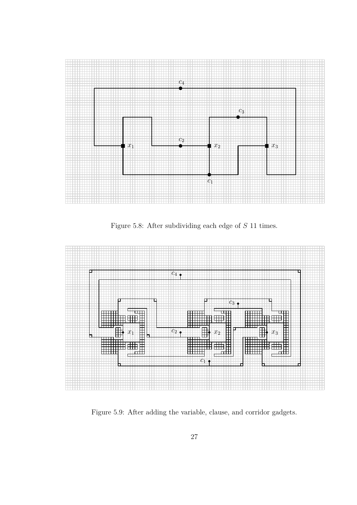

Figure 5.8: After subdividing each edge of *S* 11 times.



Figure 5.9: After adding the variable, clause, and corridor gadgets.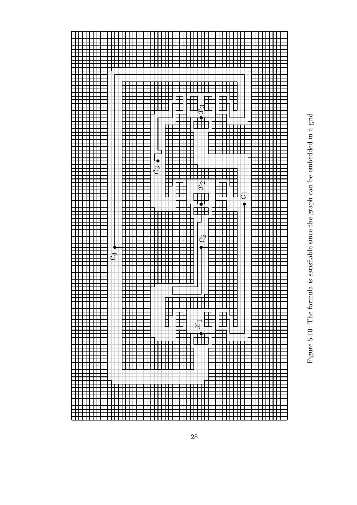

Figure 5.10: The formula is satisfiable since the graph can be embedded in a grid. graph can be embedded in a grid satisfiable since the 5.10: The formula is Figure !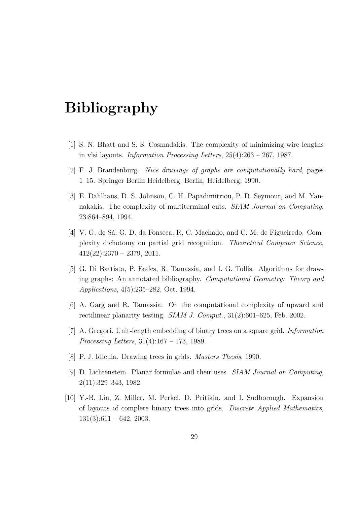## **Bibliography**

- [1] S. N. Bhatt and S. S. Cosmadakis. The complexity of minimizing wire lengths in vlsi layouts. *Information Processing Letters*, 25(4):263 – 267, 1987.
- [2] F. J. Brandenburg. *Nice drawings of graphs are computationally hard*, pages 1–15. Springer Berlin Heidelberg, Berlin, Heidelberg, 1990.
- [3] E. Dahlhaus, D. S. Johnson, C. H. Papadimitriou, P. D. Seymour, and M. Yannakakis. The complexity of multiterminal cuts. *SIAM Journal on Computing*, 23:864–894, 1994.
- [4] V. G. de Sá, G. D. da Fonseca, R. C. Machado, and C. M. de Figueiredo. Complexity dichotomy on partial grid recognition. *Theoretical Computer Science*,  $412(22):2370 - 2379, 2011.$
- [5] G. Di Battista, P. Eades, R. Tamassia, and I. G. Tollis. Algorithms for drawing graphs: An annotated bibliography. *Computational Geometry: Theory and Applications*, 4(5):235–282, Oct. 1994.
- [6] A. Garg and R. Tamassia. On the computational complexity of upward and rectilinear planarity testing. *SIAM J. Comput.*, 31(2):601–625, Feb. 2002.
- [7] A. Gregori. Unit-length embedding of binary trees on a square grid. *Information Processing Letters*, 31(4):167 – 173, 1989.
- [8] P. J. Idicula. Drawing trees in grids. *Masters Thesis*, 1990.
- [9] D. Lichtenstein. Planar formulae and their uses. *SIAM Journal on Computing*, 2(11):329–343, 1982.
- [10] Y.-B. Lin, Z. Miller, M. Perkel, D. Pritikin, and I. Sudborough. Expansion of layouts of complete binary trees into grids. *Discrete Applied Mathematics*,  $131(3):611 - 642, 2003.$